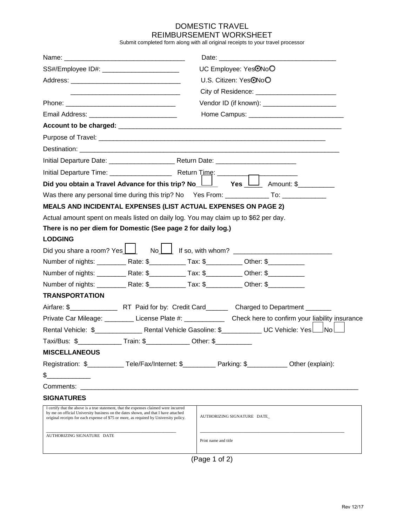## DOMESTIC TRAVEL REIMBURSEMENT WORKSHEET

Submit completed form along with all original receipts to your travel processor

|                                                                                                                                                                                                                                                                      |                                                                              |                                                 | UC Employee: Yes <sup>ONoO</sup>                                                                       |  |  |  |  |  |  |
|----------------------------------------------------------------------------------------------------------------------------------------------------------------------------------------------------------------------------------------------------------------------|------------------------------------------------------------------------------|-------------------------------------------------|--------------------------------------------------------------------------------------------------------|--|--|--|--|--|--|
|                                                                                                                                                                                                                                                                      |                                                                              | U.S. Citizen: Yes <sup>O</sup> NoO              |                                                                                                        |  |  |  |  |  |  |
|                                                                                                                                                                                                                                                                      |                                                                              |                                                 |                                                                                                        |  |  |  |  |  |  |
|                                                                                                                                                                                                                                                                      |                                                                              | Vendor ID (if known): _________________________ |                                                                                                        |  |  |  |  |  |  |
|                                                                                                                                                                                                                                                                      |                                                                              |                                                 |                                                                                                        |  |  |  |  |  |  |
|                                                                                                                                                                                                                                                                      |                                                                              |                                                 |                                                                                                        |  |  |  |  |  |  |
|                                                                                                                                                                                                                                                                      |                                                                              |                                                 |                                                                                                        |  |  |  |  |  |  |
|                                                                                                                                                                                                                                                                      |                                                                              |                                                 |                                                                                                        |  |  |  |  |  |  |
| Destination: Lawrence and Contract and Contract and Contract and Contract and Contract and Contract and Contract and Contract and Contract and Contract and Contract and Contract and Contract and Contract and Contract and C                                       |                                                                              |                                                 |                                                                                                        |  |  |  |  |  |  |
|                                                                                                                                                                                                                                                                      |                                                                              |                                                 |                                                                                                        |  |  |  |  |  |  |
| Did you obtain a Travel Advance for this trip? No $\Box$ Yes $\Box$ Amount: \$                                                                                                                                                                                       |                                                                              |                                                 |                                                                                                        |  |  |  |  |  |  |
| Was there any personal time during this trip? No Yes From: _______________ To: ______________                                                                                                                                                                        |                                                                              |                                                 |                                                                                                        |  |  |  |  |  |  |
| <b>MEALS AND INCIDENTAL EXPENSES (LIST ACTUAL EXPENSES ON PAGE 2)</b>                                                                                                                                                                                                |                                                                              |                                                 |                                                                                                        |  |  |  |  |  |  |
| Actual amount spent on meals listed on daily log. You may claim up to \$62 per day.                                                                                                                                                                                  |                                                                              |                                                 |                                                                                                        |  |  |  |  |  |  |
| There is no per diem for Domestic (See page 2 for daily log.)                                                                                                                                                                                                        |                                                                              |                                                 |                                                                                                        |  |  |  |  |  |  |
| <b>LODGING</b>                                                                                                                                                                                                                                                       |                                                                              |                                                 |                                                                                                        |  |  |  |  |  |  |
| Did you share a room? Yes     No     If so, with whom? _________________________                                                                                                                                                                                     |                                                                              |                                                 |                                                                                                        |  |  |  |  |  |  |
| Number of nights: ____________Rate: \$_______________Tax: \$_____________Other: \$____________________                                                                                                                                                               |                                                                              |                                                 |                                                                                                        |  |  |  |  |  |  |
|                                                                                                                                                                                                                                                                      |                                                                              |                                                 | Number of nights: ____________Rate: \$______________Tax: \$____________Other: \$______________         |  |  |  |  |  |  |
|                                                                                                                                                                                                                                                                      |                                                                              |                                                 | Number of nights: ____________Rate: \$______________Tax: \$_____________Other: \$_____________________ |  |  |  |  |  |  |
| <b>TRANSPORTATION</b>                                                                                                                                                                                                                                                |                                                                              |                                                 |                                                                                                        |  |  |  |  |  |  |
|                                                                                                                                                                                                                                                                      |                                                                              |                                                 |                                                                                                        |  |  |  |  |  |  |
|                                                                                                                                                                                                                                                                      |                                                                              |                                                 |                                                                                                        |  |  |  |  |  |  |
|                                                                                                                                                                                                                                                                      |                                                                              |                                                 |                                                                                                        |  |  |  |  |  |  |
|                                                                                                                                                                                                                                                                      | Taxi/Bus: \$________________Train: \$________________Other: \$______________ |                                                 |                                                                                                        |  |  |  |  |  |  |
| <b>MISCELLANEOUS</b>                                                                                                                                                                                                                                                 |                                                                              |                                                 |                                                                                                        |  |  |  |  |  |  |
| Registration: \$____________Tele/Fax/Internet: \$___________Parking: \$____________Other (explain):                                                                                                                                                                  |                                                                              |                                                 |                                                                                                        |  |  |  |  |  |  |
| \$                                                                                                                                                                                                                                                                   |                                                                              |                                                 |                                                                                                        |  |  |  |  |  |  |
|                                                                                                                                                                                                                                                                      |                                                                              |                                                 |                                                                                                        |  |  |  |  |  |  |
| <b>SIGNATURES</b>                                                                                                                                                                                                                                                    |                                                                              |                                                 |                                                                                                        |  |  |  |  |  |  |
| I certify that the above is a true statement, that the expenses claimed were incurred<br>by me on official University business on the dates shown, and that I have attached<br>original receipts for each expense of \$75 or more, as required by University policy. |                                                                              | AUTHORIZING SIGNATURE DATE_                     |                                                                                                        |  |  |  |  |  |  |
| AUTHORIZING SIGNATURE DATE                                                                                                                                                                                                                                           |                                                                              | Print name and title                            |                                                                                                        |  |  |  |  |  |  |

(Page 1 of 2)